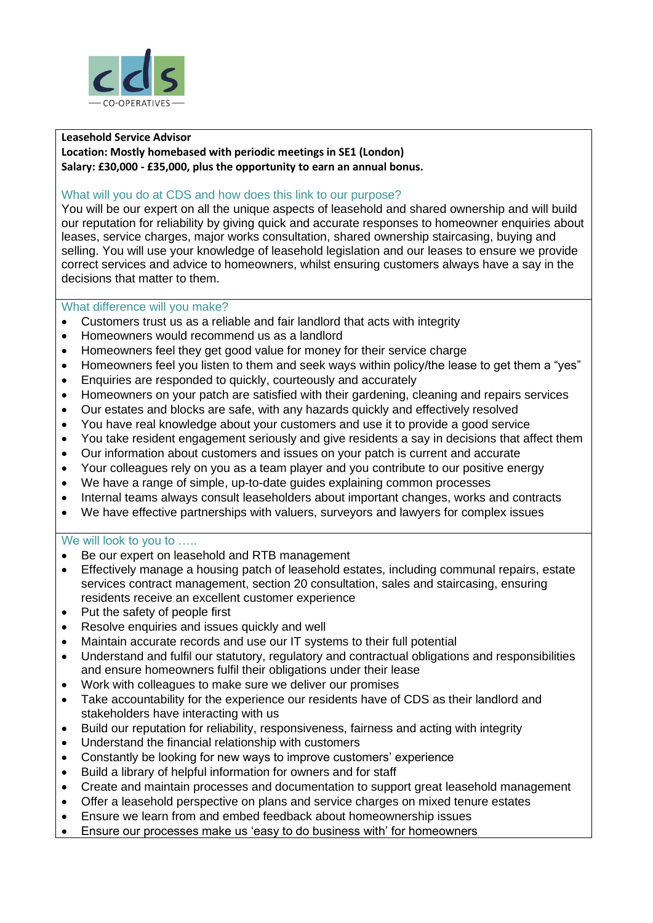

# **Leasehold Service Advisor**

**Location: Mostly homebased with periodic meetings in SE1 (London) Salary: £30,000 - £35,000, plus the opportunity to earn an annual bonus.**

#### What will you do at CDS and how does this link to our purpose?

You will be our expert on all the unique aspects of leasehold and shared ownership and will build our reputation for reliability by giving quick and accurate responses to homeowner enquiries about leases, service charges, major works consultation, shared ownership staircasing, buying and selling. You will use your knowledge of leasehold legislation and our leases to ensure we provide correct services and advice to homeowners, whilst ensuring customers always have a say in the decisions that matter to them.

### What difference will you make?

- Customers trust us as a reliable and fair landlord that acts with integrity
- Homeowners would recommend us as a landlord
- Homeowners feel they get good value for money for their service charge
- Homeowners feel you listen to them and seek ways within policy/the lease to get them a "yes"
- Enquiries are responded to quickly, courteously and accurately
- Homeowners on your patch are satisfied with their gardening, cleaning and repairs services
- Our estates and blocks are safe, with any hazards quickly and effectively resolved
- You have real knowledge about your customers and use it to provide a good service
- You take resident engagement seriously and give residents a say in decisions that affect them
- Our information about customers and issues on your patch is current and accurate
- Your colleagues rely on you as a team player and you contribute to our positive energy
- We have a range of simple, up-to-date guides explaining common processes
- Internal teams always consult leaseholders about important changes, works and contracts
- We have effective partnerships with valuers, surveyors and lawyers for complex issues

### We will look to you to .....

- Be our expert on leasehold and RTB management
- Effectively manage a housing patch of leasehold estates, including communal repairs, estate services contract management, section 20 consultation, sales and staircasing, ensuring residents receive an excellent customer experience
- Put the safety of people first
- Resolve enquiries and issues quickly and well
- Maintain accurate records and use our IT systems to their full potential
- Understand and fulfil our statutory, regulatory and contractual obligations and responsibilities and ensure homeowners fulfil their obligations under their lease
- Work with colleagues to make sure we deliver our promises
- Take accountability for the experience our residents have of CDS as their landlord and stakeholders have interacting with us
- Build our reputation for reliability, responsiveness, fairness and acting with integrity
- Understand the financial relationship with customers
- Constantly be looking for new ways to improve customers' experience
- Build a library of helpful information for owners and for staff
- Create and maintain processes and documentation to support great leasehold management
- Offer a leasehold perspective on plans and service charges on mixed tenure estates
- Ensure we learn from and embed feedback about homeownership issues
- Ensure our processes make us 'easy to do business with' for homeowners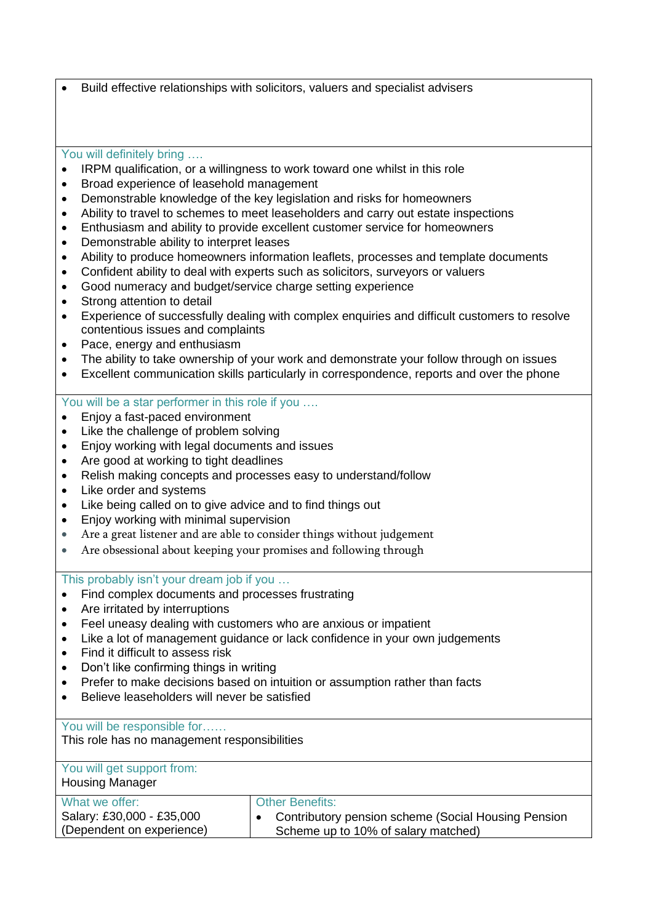• Build effective relationships with solicitors, valuers and specialist advisers

## You will definitely bring ....

- IRPM qualification, or a willingness to work toward one whilst in this role
- Broad experience of leasehold management
- Demonstrable knowledge of the key legislation and risks for homeowners
- Ability to travel to schemes to meet leaseholders and carry out estate inspections
- Enthusiasm and ability to provide excellent customer service for homeowners
- Demonstrable ability to interpret leases
- Ability to produce homeowners information leaflets, processes and template documents
- Confident ability to deal with experts such as solicitors, surveyors or valuers
- Good numeracy and budget/service charge setting experience
- Strong attention to detail
- Experience of successfully dealing with complex enquiries and difficult customers to resolve contentious issues and complaints
- Pace, energy and enthusiasm
- The ability to take ownership of your work and demonstrate your follow through on issues
- Excellent communication skills particularly in correspondence, reports and over the phone

## You will be a star performer in this role if you ….

- Enjoy a fast-paced environment
- Like the challenge of problem solving
- Enjoy working with legal documents and issues
- Are good at working to tight deadlines
- Relish making concepts and processes easy to understand/follow
- Like order and systems
- Like being called on to give advice and to find things out
- Enjoy working with minimal supervision
- Are a great listener and are able to consider things without judgement
- Are obsessional about keeping your promises and following through

This probably isn't your dream job if you …

- Find complex documents and processes frustrating
- Are irritated by interruptions
- Feel uneasy dealing with customers who are anxious or impatient
- Like a lot of management guidance or lack confidence in your own judgements
- Find it difficult to assess risk
- Don't like confirming things in writing
- Prefer to make decisions based on intuition or assumption rather than facts
- Believe leaseholders will never be satisfied

You will be responsible for……

This role has no management responsibilities

| You will get support from:<br><b>Housing Manager</b> |                                                     |
|------------------------------------------------------|-----------------------------------------------------|
| What we offer:                                       | <b>Other Benefits:</b>                              |
| Salary: £30,000 - £35,000                            | Contributory pension scheme (Social Housing Pension |
| (Dependent on experience)                            | Scheme up to 10% of salary matched)                 |